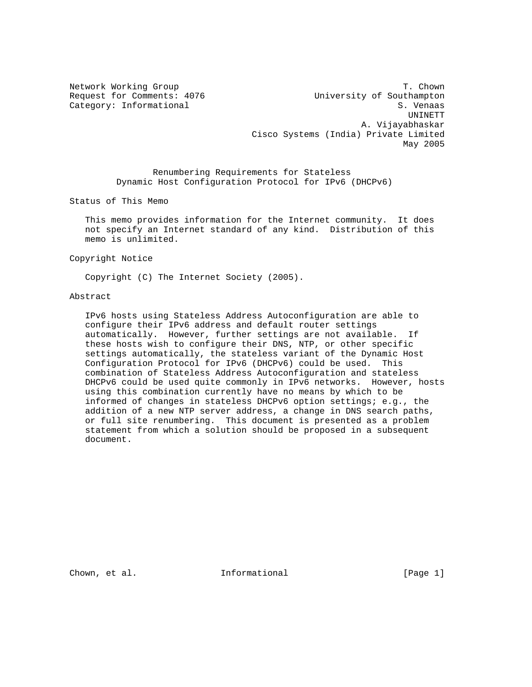Network Working Group T. Chown Request for Comments: 4076 University of Southampton Category: Informational S. Venaas UNINETT A. Vijayabhaskar Cisco Systems (India) Private Limited May 2005

> Renumbering Requirements for Stateless Dynamic Host Configuration Protocol for IPv6 (DHCPv6)

Status of This Memo

 This memo provides information for the Internet community. It does not specify an Internet standard of any kind. Distribution of this memo is unlimited.

Copyright Notice

Copyright (C) The Internet Society (2005).

# Abstract

 IPv6 hosts using Stateless Address Autoconfiguration are able to configure their IPv6 address and default router settings automatically. However, further settings are not available. If these hosts wish to configure their DNS, NTP, or other specific settings automatically, the stateless variant of the Dynamic Host Configuration Protocol for IPv6 (DHCPv6) could be used. This combination of Stateless Address Autoconfiguration and stateless DHCPv6 could be used quite commonly in IPv6 networks. However, hosts using this combination currently have no means by which to be informed of changes in stateless DHCPv6 option settings; e.g., the addition of a new NTP server address, a change in DNS search paths, or full site renumbering. This document is presented as a problem statement from which a solution should be proposed in a subsequent document.

Chown, et al.  $I_n$  Informational [Page 1]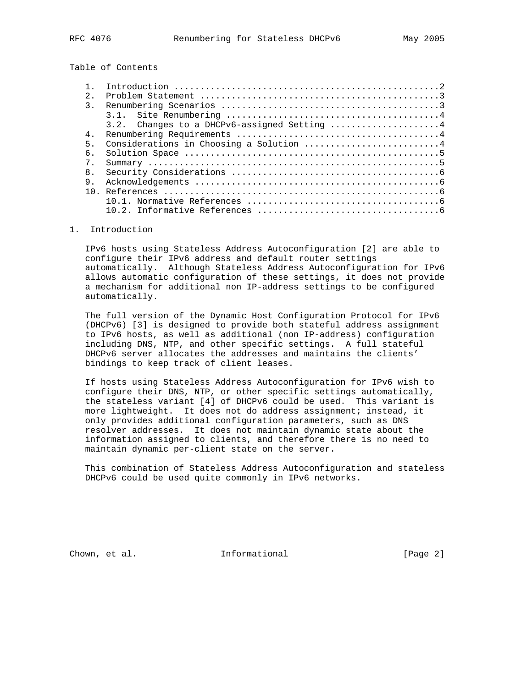Table of Contents

| $2^{\circ}$    |                                             |
|----------------|---------------------------------------------|
| $\mathcal{R}$  |                                             |
|                |                                             |
|                | 3.2. Changes to a DHCPv6-assigned Setting 4 |
| 4 <sub>1</sub> |                                             |
| 5 <sub>1</sub> | Considerations in Choosing a Solution 4     |
| б.             |                                             |
| $7^{\circ}$    |                                             |
| 8.             |                                             |
| 9.             |                                             |
| 1 N            |                                             |
|                |                                             |
|                |                                             |

# 1. Introduction

 IPv6 hosts using Stateless Address Autoconfiguration [2] are able to configure their IPv6 address and default router settings automatically. Although Stateless Address Autoconfiguration for IPv6 allows automatic configuration of these settings, it does not provide a mechanism for additional non IP-address settings to be configured automatically.

 The full version of the Dynamic Host Configuration Protocol for IPv6 (DHCPv6) [3] is designed to provide both stateful address assignment to IPv6 hosts, as well as additional (non IP-address) configuration including DNS, NTP, and other specific settings. A full stateful DHCPv6 server allocates the addresses and maintains the clients' bindings to keep track of client leases.

 If hosts using Stateless Address Autoconfiguration for IPv6 wish to configure their DNS, NTP, or other specific settings automatically, the stateless variant [4] of DHCPv6 could be used. This variant is more lightweight. It does not do address assignment; instead, it only provides additional configuration parameters, such as DNS resolver addresses. It does not maintain dynamic state about the information assigned to clients, and therefore there is no need to maintain dynamic per-client state on the server.

 This combination of Stateless Address Autoconfiguration and stateless DHCPv6 could be used quite commonly in IPv6 networks.

Chown, et al. **Informational** [Page 2]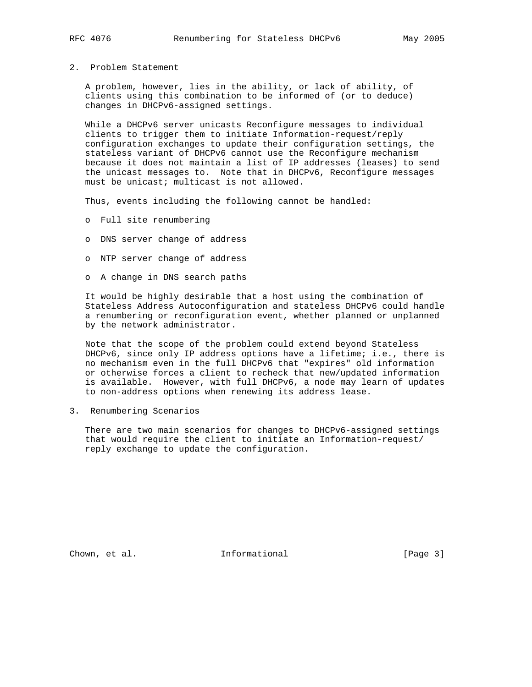2. Problem Statement

 A problem, however, lies in the ability, or lack of ability, of clients using this combination to be informed of (or to deduce) changes in DHCPv6-assigned settings.

 While a DHCPv6 server unicasts Reconfigure messages to individual clients to trigger them to initiate Information-request/reply configuration exchanges to update their configuration settings, the stateless variant of DHCPv6 cannot use the Reconfigure mechanism because it does not maintain a list of IP addresses (leases) to send the unicast messages to. Note that in DHCPv6, Reconfigure messages must be unicast; multicast is not allowed.

Thus, events including the following cannot be handled:

- o Full site renumbering
- o DNS server change of address
- o NTP server change of address
- o A change in DNS search paths

 It would be highly desirable that a host using the combination of Stateless Address Autoconfiguration and stateless DHCPv6 could handle a renumbering or reconfiguration event, whether planned or unplanned by the network administrator.

 Note that the scope of the problem could extend beyond Stateless DHCPv6, since only IP address options have a lifetime; i.e., there is no mechanism even in the full DHCPv6 that "expires" old information or otherwise forces a client to recheck that new/updated information is available. However, with full DHCPv6, a node may learn of updates to non-address options when renewing its address lease.

3. Renumbering Scenarios

 There are two main scenarios for changes to DHCPv6-assigned settings that would require the client to initiate an Information-request/ reply exchange to update the configuration.

Chown, et al. 1nformational 1999 [Page 3]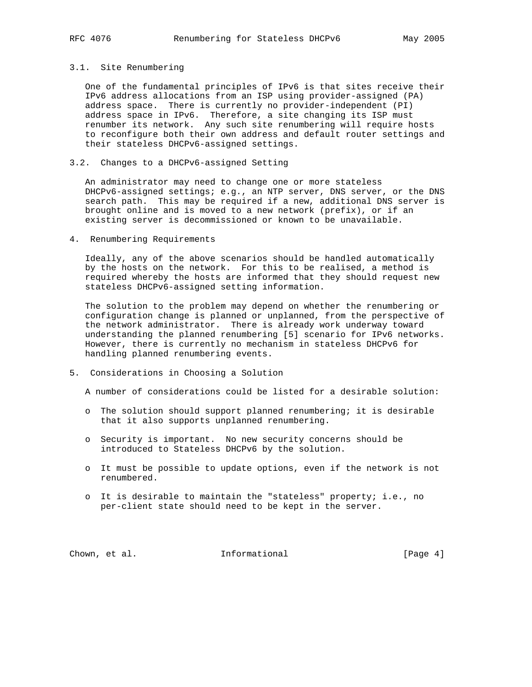## 3.1. Site Renumbering

 One of the fundamental principles of IPv6 is that sites receive their IPv6 address allocations from an ISP using provider-assigned (PA) address space. There is currently no provider-independent (PI) address space in IPv6. Therefore, a site changing its ISP must renumber its network. Any such site renumbering will require hosts to reconfigure both their own address and default router settings and their stateless DHCPv6-assigned settings.

# 3.2. Changes to a DHCPv6-assigned Setting

 An administrator may need to change one or more stateless DHCPv6-assigned settings; e.g., an NTP server, DNS server, or the DNS search path. This may be required if a new, additional DNS server is brought online and is moved to a new network (prefix), or if an existing server is decommissioned or known to be unavailable.

### 4. Renumbering Requirements

 Ideally, any of the above scenarios should be handled automatically by the hosts on the network. For this to be realised, a method is required whereby the hosts are informed that they should request new stateless DHCPv6-assigned setting information.

 The solution to the problem may depend on whether the renumbering or configuration change is planned or unplanned, from the perspective of the network administrator. There is already work underway toward understanding the planned renumbering [5] scenario for IPv6 networks. However, there is currently no mechanism in stateless DHCPv6 for handling planned renumbering events.

5. Considerations in Choosing a Solution

A number of considerations could be listed for a desirable solution:

- o The solution should support planned renumbering; it is desirable that it also supports unplanned renumbering.
- o Security is important. No new security concerns should be introduced to Stateless DHCPv6 by the solution.
- o It must be possible to update options, even if the network is not renumbered.
- o It is desirable to maintain the "stateless" property; i.e., no per-client state should need to be kept in the server.

Chown, et al. 1nformational [Page 4]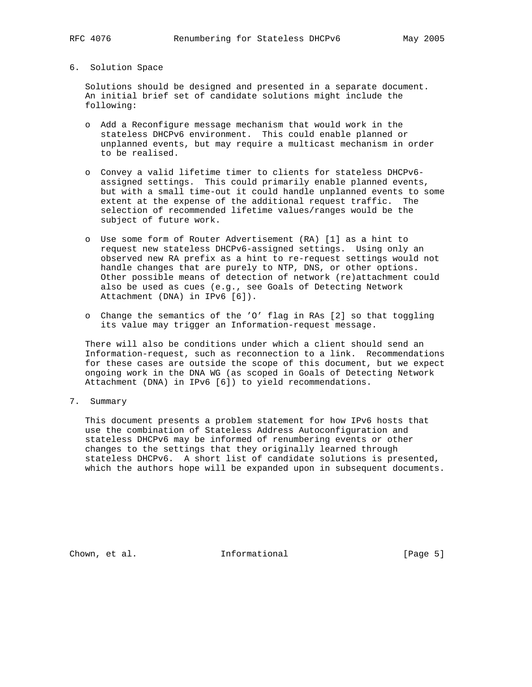# 6. Solution Space

 Solutions should be designed and presented in a separate document. An initial brief set of candidate solutions might include the following:

- o Add a Reconfigure message mechanism that would work in the stateless DHCPv6 environment. This could enable planned or unplanned events, but may require a multicast mechanism in order to be realised.
- o Convey a valid lifetime timer to clients for stateless DHCPv6 assigned settings. This could primarily enable planned events, but with a small time-out it could handle unplanned events to some extent at the expense of the additional request traffic. The selection of recommended lifetime values/ranges would be the subject of future work.
- o Use some form of Router Advertisement (RA) [1] as a hint to request new stateless DHCPv6-assigned settings. Using only an observed new RA prefix as a hint to re-request settings would not handle changes that are purely to NTP, DNS, or other options. Other possible means of detection of network (re)attachment could also be used as cues (e.g., see Goals of Detecting Network Attachment (DNA) in IPv6 [6]).
- o Change the semantics of the 'O' flag in RAs [2] so that toggling its value may trigger an Information-request message.

 There will also be conditions under which a client should send an Information-request, such as reconnection to a link. Recommendations for these cases are outside the scope of this document, but we expect ongoing work in the DNA WG (as scoped in Goals of Detecting Network Attachment (DNA) in IPv6 [6]) to yield recommendations.

7. Summary

 This document presents a problem statement for how IPv6 hosts that use the combination of Stateless Address Autoconfiguration and stateless DHCPv6 may be informed of renumbering events or other changes to the settings that they originally learned through stateless DHCPv6. A short list of candidate solutions is presented, which the authors hope will be expanded upon in subsequent documents.

Chown, et al. 100 Informational 100 [Page 5]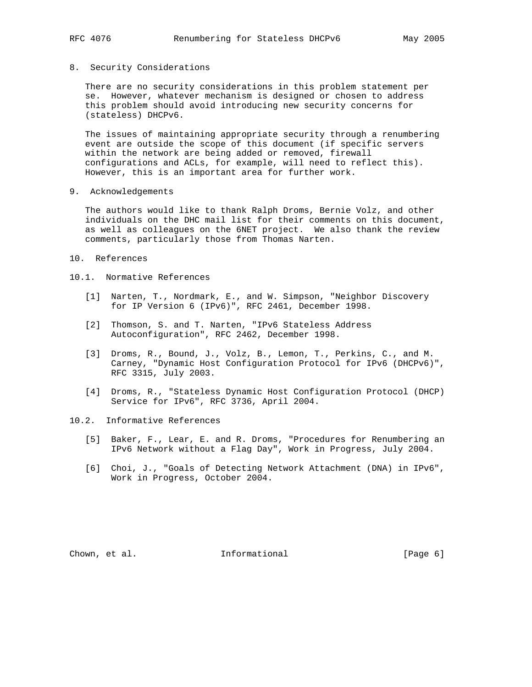## 8. Security Considerations

 There are no security considerations in this problem statement per se. However, whatever mechanism is designed or chosen to address this problem should avoid introducing new security concerns for (stateless) DHCPv6.

 The issues of maintaining appropriate security through a renumbering event are outside the scope of this document (if specific servers within the network are being added or removed, firewall configurations and ACLs, for example, will need to reflect this). However, this is an important area for further work.

9. Acknowledgements

 The authors would like to thank Ralph Droms, Bernie Volz, and other individuals on the DHC mail list for their comments on this document, as well as colleagues on the 6NET project. We also thank the review comments, particularly those from Thomas Narten.

10. References

# 10.1. Normative References

- [1] Narten, T., Nordmark, E., and W. Simpson, "Neighbor Discovery for IP Version 6 (IPv6)", RFC 2461, December 1998.
- [2] Thomson, S. and T. Narten, "IPv6 Stateless Address Autoconfiguration", RFC 2462, December 1998.
- [3] Droms, R., Bound, J., Volz, B., Lemon, T., Perkins, C., and M. Carney, "Dynamic Host Configuration Protocol for IPv6 (DHCPv6)", RFC 3315, July 2003.
- [4] Droms, R., "Stateless Dynamic Host Configuration Protocol (DHCP) Service for IPv6", RFC 3736, April 2004.

# 10.2. Informative References

- [5] Baker, F., Lear, E. and R. Droms, "Procedures for Renumbering an IPv6 Network without a Flag Day", Work in Progress, July 2004.
- [6] Choi, J., "Goals of Detecting Network Attachment (DNA) in IPv6", Work in Progress, October 2004.

Chown, et al. **Informational** [Page 6]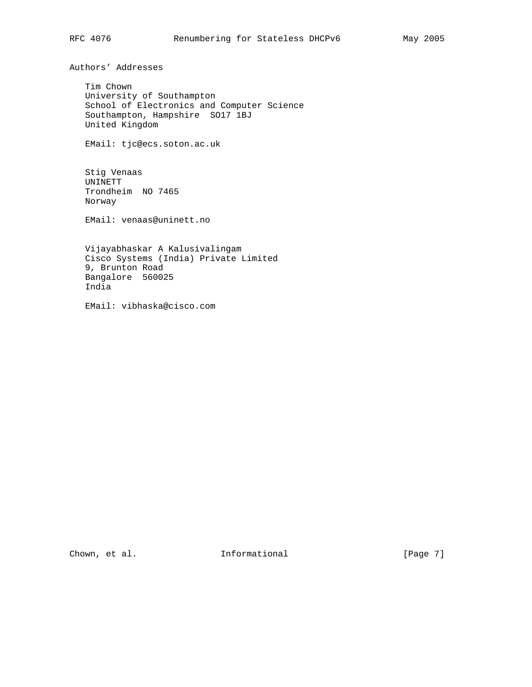Authors' Addresses

 Tim Chown University of Southampton School of Electronics and Computer Science Southampton, Hampshire SO17 1BJ United Kingdom

EMail: tjc@ecs.soton.ac.uk

 Stig Venaas UNINETT Trondheim NO 7465 Norway

EMail: venaas@uninett.no

 Vijayabhaskar A Kalusivalingam Cisco Systems (India) Private Limited 9, Brunton Road Bangalore 560025 India

EMail: vibhaska@cisco.com

Chown, et al. 1000 Informational 1000 [Page 7]